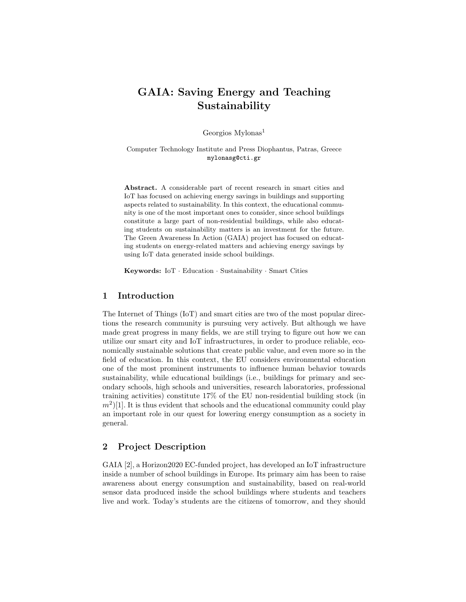# GAIA: Saving Energy and Teaching Sustainability

Georgios Mylonas<sup>1</sup>

Computer Technology Institute and Press Diophantus, Patras, Greece mylonasg@cti.gr

Abstract. A considerable part of recent research in smart cities and IoT has focused on achieving energy savings in buildings and supporting aspects related to sustainability. In this context, the educational community is one of the most important ones to consider, since school buildings constitute a large part of non-residential buildings, while also educating students on sustainability matters is an investment for the future. The Green Awareness In Action (GAIA) project has focused on educating students on energy-related matters and achieving energy savings by using IoT data generated inside school buildings.

Keywords: IoT · Education · Sustainability · Smart Cities

#### 1 Introduction

The Internet of Things (IoT) and smart cities are two of the most popular directions the research community is pursuing very actively. But although we have made great progress in many fields, we are still trying to figure out how we can utilize our smart city and IoT infrastructures, in order to produce reliable, economically sustainable solutions that create public value, and even more so in the field of education. In this context, the EU considers environmental education one of the most prominent instruments to influence human behavior towards sustainability, while educational buildings (i.e., buildings for primary and secondary schools, high schools and universities, research laboratories, professional training activities) constitute 17% of the EU non-residential building stock (in  $(m^2)$ [1]. It is thus evident that schools and the educational community could play an important role in our quest for lowering energy consumption as a society in general.

## 2 Project Description

GAIA [2], a Horizon2020 EC-funded project, has developed an IoT infrastructure inside a number of school buildings in Europe. Its primary aim has been to raise awareness about energy consumption and sustainability, based on real-world sensor data produced inside the school buildings where students and teachers live and work. Today's students are the citizens of tomorrow, and they should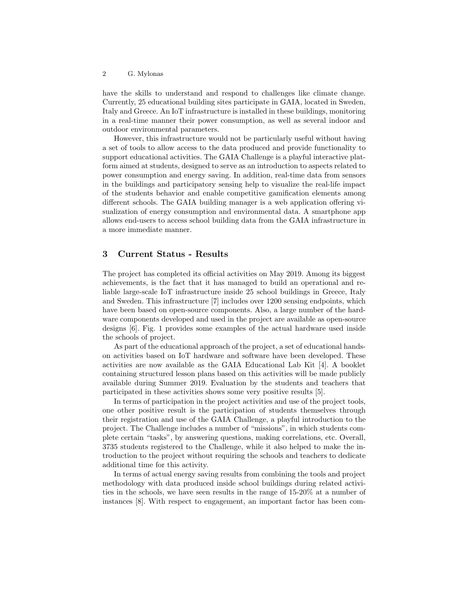have the skills to understand and respond to challenges like climate change. Currently, 25 educational building sites participate in GAIA, located in Sweden, Italy and Greece. An IoT infrastructure is installed in these buildings, monitoring in a real-time manner their power consumption, as well as several indoor and outdoor environmental parameters.

However, this infrastructure would not be particularly useful without having a set of tools to allow access to the data produced and provide functionality to support educational activities. The GAIA Challenge is a playful interactive platform aimed at students, designed to serve as an introduction to aspects related to power consumption and energy saving. In addition, real-time data from sensors in the buildings and participatory sensing help to visualize the real-life impact of the students behavior and enable competitive gamification elements among different schools. The GAIA building manager is a web application offering visualization of energy consumption and environmental data. A smartphone app allows end-users to access school building data from the GAIA infrastructure in a more immediate manner.

#### 3 Current Status - Results

The project has completed its official activities on May 2019. Among its biggest achievements, is the fact that it has managed to build an operational and reliable large-scale IoT infrastructure inside 25 school buildings in Greece, Italy and Sweden. This infrastructure [7] includes over 1200 sensing endpoints, which have been based on open-source components. Also, a large number of the hardware components developed and used in the project are available as open-source designs [6]. Fig. 1 provides some examples of the actual hardware used inside the schools of project.

As part of the educational approach of the project, a set of educational handson activities based on IoT hardware and software have been developed. These activities are now available as the GAIA Educational Lab Kit [4]. A booklet containing structured lesson plans based on this activities will be made publicly available during Summer 2019. Evaluation by the students and teachers that participated in these activities shows some very positive results [5].

In terms of participation in the project activities and use of the project tools, one other positive result is the participation of students themselves through their registration and use of the GAIA Challenge, a playful introduction to the project. The Challenge includes a number of "missions", in which students complete certain "tasks", by answering questions, making correlations, etc. Overall, 3735 students registered to the Challenge, while it also helped to make the introduction to the project without requiring the schools and teachers to dedicate additional time for this activity.

In terms of actual energy saving results from combining the tools and project methodology with data produced inside school buildings during related activities in the schools, we have seen results in the range of 15-20% at a number of instances [8]. With respect to engagement, an important factor has been com-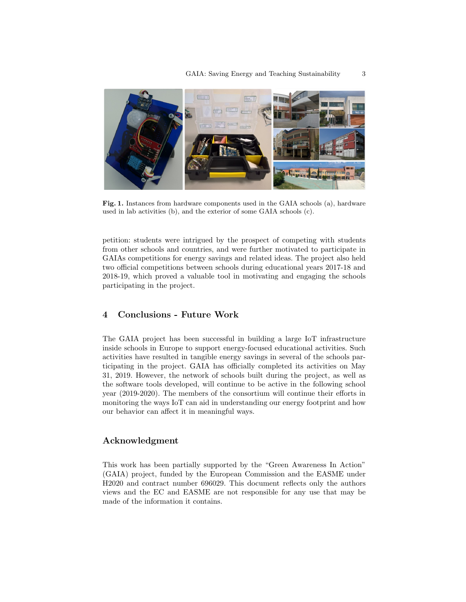

Fig. 1. Instances from hardware components used in the GAIA schools (a), hardware used in lab activities (b), and the exterior of some GAIA schools (c).

petition: students were intrigued by the prospect of competing with students from other schools and countries, and were further motivated to participate in GAIAs competitions for energy savings and related ideas. The project also held two official competitions between schools during educational years 2017-18 and 2018-19, which proved a valuable tool in motivating and engaging the schools participating in the project.

## 4 Conclusions - Future Work

The GAIA project has been successful in building a large IoT infrastructure inside schools in Europe to support energy-focused educational activities. Such activities have resulted in tangible energy savings in several of the schools participating in the project. GAIA has officially completed its activities on May 31, 2019. However, the network of schools built during the project, as well as the software tools developed, will continue to be active in the following school year (2019-2020). The members of the consortium will continue their efforts in monitoring the ways IoT can aid in understanding our energy footprint and how our behavior can affect it in meaningful ways.

## Acknowledgment

This work has been partially supported by the "Green Awareness In Action" (GAIA) project, funded by the European Commission and the EASME under H2020 and contract number 696029. This document reflects only the authors views and the EC and EASME are not responsible for any use that may be made of the information it contains.